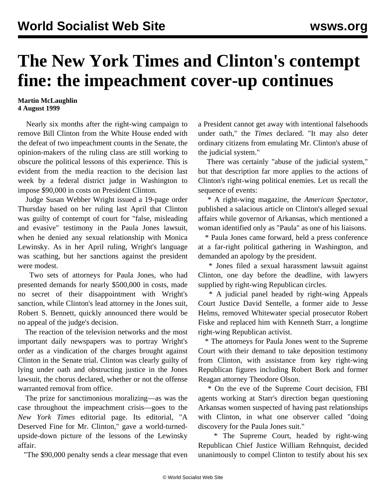## **The New York Times and Clinton's contempt fine: the impeachment cover-up continues**

## **Martin McLaughlin 4 August 1999**

 Nearly six months after the right-wing campaign to remove Bill Clinton from the White House ended with the defeat of two impeachment counts in the Senate, the opinion-makers of the ruling class are still working to obscure the political lessons of this experience. This is evident from the media reaction to the decision last week by a federal district judge in Washington to impose \$90,000 in costs on President Clinton.

 Judge Susan Webber Wright issued a 19-page order Thursday based on her ruling last April that Clinton was guilty of contempt of court for "false, misleading and evasive" testimony in the Paula Jones lawsuit, when he denied any sexual relationship with Monica Lewinsky. As in her April ruling, Wright's language was scathing, but her sanctions against the president were modest.

 Two sets of attorneys for Paula Jones, who had presented demands for nearly \$500,000 in costs, made no secret of their disappointment with Wright's sanction, while Clinton's lead attorney in the Jones suit, Robert S. Bennett, quickly announced there would be no appeal of the judge's decision.

 The reaction of the television networks and the most important daily newspapers was to portray Wright's order as a vindication of the charges brought against Clinton in the Senate trial. Clinton was clearly guilty of lying under oath and obstructing justice in the Jones lawsuit, the chorus declared, whether or not the offense warranted removal from office.

 The prize for sanctimonious moralizing—as was the case throughout the impeachment crisis—goes to the *New York Times* editorial page. Its editorial, "A Deserved Fine for Mr. Clinton," gave a world-turnedupside-down picture of the lessons of the Lewinsky affair.

"The \$90,000 penalty sends a clear message that even

a President cannot get away with intentional falsehoods under oath," the *Times* declared. "It may also deter ordinary citizens from emulating Mr. Clinton's abuse of the judicial system."

 There was certainly "abuse of the judicial system," but that description far more applies to the actions of Clinton's right-wing political enemies. Let us recall the sequence of events:

 \* A right-wing magazine, the *American Spectator*, published a salacious article on Clinton's alleged sexual affairs while governor of Arkansas, which mentioned a woman identified only as "Paula" as one of his liaisons.

 \* Paula Jones came forward, held a press conference at a far-right political gathering in Washington, and demanded an apology by the president.

 \* Jones filed a sexual harassment lawsuit against Clinton, one day before the deadline, with lawyers supplied by right-wing Republican circles.

 \* A judicial panel headed by right-wing Appeals Court Justice David Sentelle, a former aide to Jesse Helms, removed Whitewater special prosecutor Robert Fiske and replaced him with Kenneth Starr, a longtime right-wing Republican activist.

 \* The attorneys for Paula Jones went to the Supreme Court with their demand to take deposition testimony from Clinton, with assistance from key right-wing Republican figures including Robert Bork and former Reagan attorney Theodore Olson.

 \* On the eve of the Supreme Court decision, FBI agents working at Starr's direction began questioning Arkansas women suspected of having past relationships with Clinton, in what one observer called "doing discovery for the Paula Jones suit."

 \* The Supreme Court, headed by right-wing Republican Chief Justice William Rehnquist, decided unanimously to compel Clinton to testify about his sex